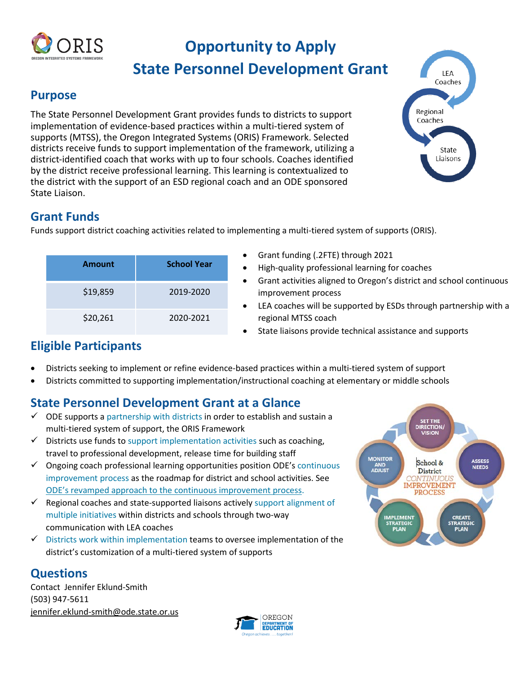

# **Opportunity to Apply**

## **State Personnel Development Grant**

#### **Purpose**

 The State Personnel Development Grant provides funds to districts to support district-identified coach that works with up to four schools. Coaches identified by the district receive professional learning. This learning is contextualized to implementation of evidence-based practices within a multi-tiered system of supports (MTSS), the Oregon Integrated Systems (ORIS) Framework. Selected districts receive funds to support implementation of the framework, utilizing a the district with the support of an ESD regional coach and an ODE sponsored State Liaison.



### **Grant Funds**

Funds support district coaching activities related to implementing a multi-tiered system of supports (ORIS).

| <b>Amount</b> | <b>School Year</b> |
|---------------|--------------------|
| \$19,859      | 2019-2020          |
| \$20,261      | 2020-2021          |

- Grant funding (.2FTE) through 2021
- High-quality professional learning for coaches
- Grant activities aligned to Oregon's district and school continuous improvement process
- LEA coaches will be supported by ESDs through partnership with a regional MTSS coach
- State liaisons provide technical assistance and supports

## **Eligible Participants**

- Districts seeking to implement or refine evidence-based practices within a multi-tiered system of support
- Districts committed to supporting implementation/instructional coaching at elementary or middle schools

## **State Personnel Development Grant at a Glance**

- $\checkmark$  ODE supports a partnership with districts in order to establish and sustain a multi-tiered system of support, the ORIS Framework
- $\checkmark$  Districts use funds to support implementation activities such as coaching, travel to professional development, release time for building staff
- [ODE's revamped approach to the continuous improvement process.](https://www.oregon.gov/ode/schools-and-districts/Pages/CIP.aspx)  $\checkmark$  Ongoing coach professional learning opportunities position ODE's continuous improvement process as the roadmap for district and school activities. See
- multiple initiatives within districts and schools through two-way  $\checkmark$  Regional coaches and state-supported liaisons actively support alignment of communication with LEA coaches
- $\checkmark$  Districts work within implementation teams to oversee implementation of the district's customization of a multi-tiered system of supports

### **Questions**

Contact Jennifer Eklund-Smith (503) 947-5611 jennifer.eklund-smith@ode.state.or.us